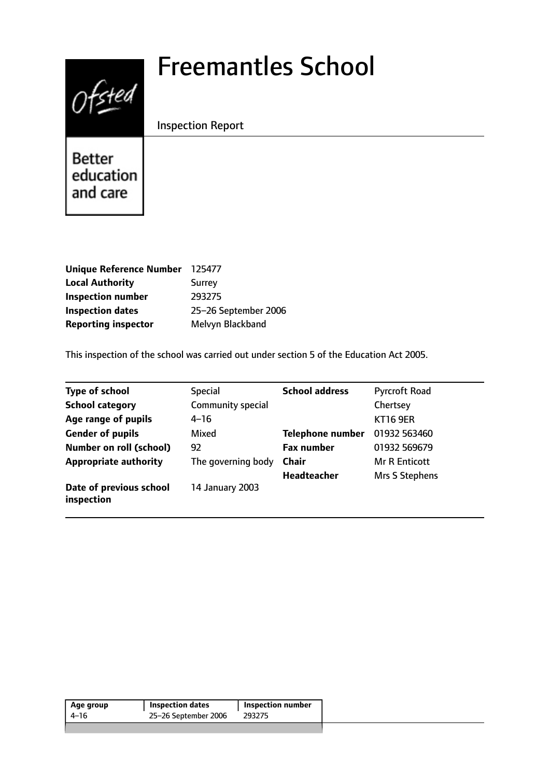# Freemantles School



Inspection Report

Better education and care

| <b>Unique Reference Number</b> | 125477               |
|--------------------------------|----------------------|
| <b>Local Authority</b>         | Surrey               |
| <b>Inspection number</b>       | 293275               |
| <b>Inspection dates</b>        | 25-26 September 2006 |
| <b>Reporting inspector</b>     | Melvyn Blackband     |

This inspection of the school was carried out under section 5 of the Education Act 2005.

| <b>Type of school</b>                 | <b>Special</b>     | <b>School address</b>   | <b>Pyrcroft Road</b> |
|---------------------------------------|--------------------|-------------------------|----------------------|
| <b>School category</b>                | Community special  |                         | Chertsey             |
| Age range of pupils                   | 4–16               |                         | <b>KT16 9ER</b>      |
| <b>Gender of pupils</b>               | Mixed              | <b>Telephone number</b> | 01932 563460         |
| <b>Number on roll (school)</b>        | 92                 | <b>Fax number</b>       | 01932 569679         |
| <b>Appropriate authority</b>          | The governing body | <b>Chair</b>            | <b>Mr R Enticott</b> |
|                                       |                    | <b>Headteacher</b>      | Mrs S Stephens       |
| Date of previous school<br>inspection | 14 January 2003    |                         |                      |

| Age group | <b>Inspection dates</b> | <b>Inspection number</b> |
|-----------|-------------------------|--------------------------|
| 4–16      | 25-26 September 2006    | 293275                   |
|           |                         |                          |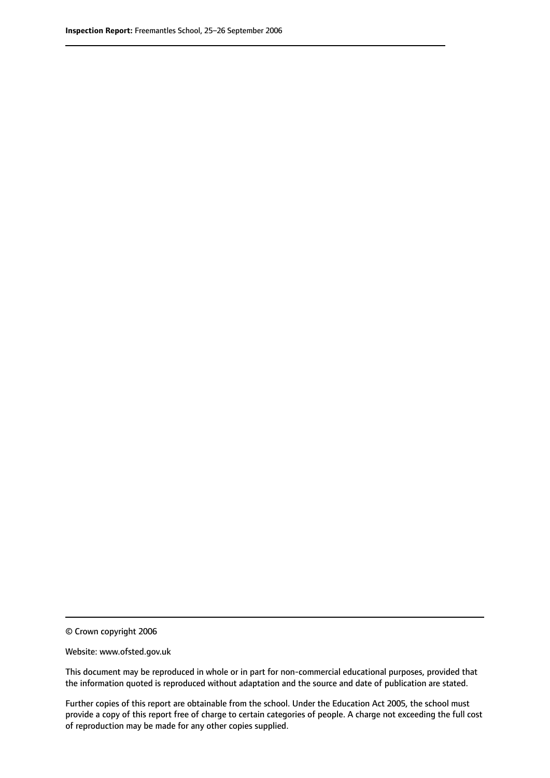© Crown copyright 2006

Website: www.ofsted.gov.uk

This document may be reproduced in whole or in part for non-commercial educational purposes, provided that the information quoted is reproduced without adaptation and the source and date of publication are stated.

Further copies of this report are obtainable from the school. Under the Education Act 2005, the school must provide a copy of this report free of charge to certain categories of people. A charge not exceeding the full cost of reproduction may be made for any other copies supplied.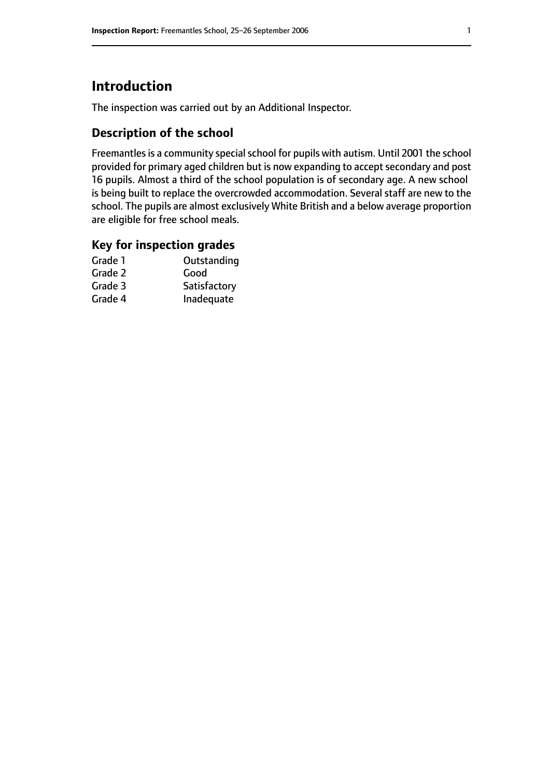# **Introduction**

The inspection was carried out by an Additional Inspector.

# **Description of the school**

Freemantles is a community special school for pupils with autism. Until 2001 the school provided for primary aged children but is now expanding to accept secondary and post 16 pupils. Almost a third of the school population is of secondary age. A new school is being built to replace the overcrowded accommodation. Several staff are new to the school. The pupils are almost exclusively White British and a below average proportion are eligible for free school meals.

### **Key for inspection grades**

| Outstanding  |
|--------------|
| Good         |
| Satisfactory |
| Inadequate   |
|              |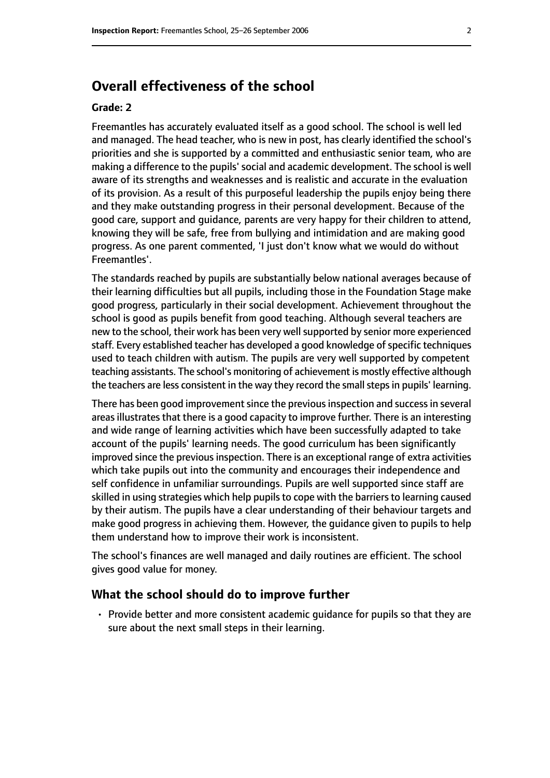# **Overall effectiveness of the school**

#### **Grade: 2**

Freemantles has accurately evaluated itself as a good school. The school is well led and managed. The head teacher, who is new in post, has clearly identified the school's priorities and she is supported by a committed and enthusiastic senior team, who are making a difference to the pupils' social and academic development. The school is well aware of its strengths and weaknesses and is realistic and accurate in the evaluation of its provision. As a result of this purposeful leadership the pupils enjoy being there and they make outstanding progress in their personal development. Because of the good care, support and guidance, parents are very happy for their children to attend, knowing they will be safe, free from bullying and intimidation and are making good progress. As one parent commented, 'I just don't know what we would do without Freemantles'.

The standards reached by pupils are substantially below national averages because of their learning difficulties but all pupils, including those in the Foundation Stage make good progress, particularly in their social development. Achievement throughout the school is good as pupils benefit from good teaching. Although several teachers are new to the school, their work has been very well supported by senior more experienced staff. Every established teacher has developed a good knowledge of specific techniques used to teach children with autism. The pupils are very well supported by competent teaching assistants. The school's monitoring of achievement is mostly effective although the teachers are less consistent in the way they record the small steps in pupils' learning.

There has been good improvement since the previous inspection and success in several areas illustrates that there is a good capacity to improve further. There is an interesting and wide range of learning activities which have been successfully adapted to take account of the pupils' learning needs. The good curriculum has been significantly improved since the previous inspection. There is an exceptional range of extra activities which take pupils out into the community and encourages their independence and self confidence in unfamiliar surroundings. Pupils are well supported since staff are skilled in using strategies which help pupils to cope with the barriers to learning caused by their autism. The pupils have a clear understanding of their behaviour targets and make good progress in achieving them. However, the guidance given to pupils to help them understand how to improve their work is inconsistent.

The school's finances are well managed and daily routines are efficient. The school gives good value for money.

#### **What the school should do to improve further**

• Provide better and more consistent academic guidance for pupils so that they are sure about the next small steps in their learning.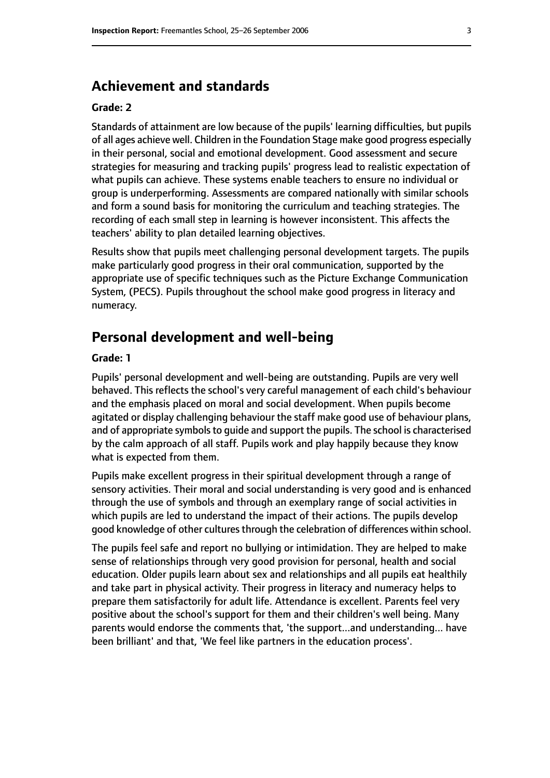## **Achievement and standards**

#### **Grade: 2**

Standards of attainment are low because of the pupils' learning difficulties, but pupils of all ages achieve well. Children in the Foundation Stage make good progress especially in their personal, social and emotional development. Good assessment and secure strategies for measuring and tracking pupils' progress lead to realistic expectation of what pupils can achieve. These systems enable teachers to ensure no individual or group is underperforming. Assessments are compared nationally with similar schools and form a sound basis for monitoring the curriculum and teaching strategies. The recording of each small step in learning is however inconsistent. This affects the teachers' ability to plan detailed learning objectives.

Results show that pupils meet challenging personal development targets. The pupils make particularly good progress in their oral communication, supported by the appropriate use of specific techniques such as the Picture Exchange Communication System, (PECS). Pupils throughout the school make good progress in literacy and numeracy.

### **Personal development and well-being**

#### **Grade: 1**

Pupils' personal development and well-being are outstanding. Pupils are very well behaved. This reflects the school's very careful management of each child's behaviour and the emphasis placed on moral and social development. When pupils become agitated or display challenging behaviour the staff make good use of behaviour plans, and of appropriate symbols to quide and support the pupils. The school is characterised by the calm approach of all staff. Pupils work and play happily because they know what is expected from them.

Pupils make excellent progress in their spiritual development through a range of sensory activities. Their moral and social understanding is very good and is enhanced through the use of symbols and through an exemplary range of social activities in which pupils are led to understand the impact of their actions. The pupils develop good knowledge of other cultures through the celebration of differences within school.

The pupils feel safe and report no bullying or intimidation. They are helped to make sense of relationships through very good provision for personal, health and social education. Older pupils learn about sex and relationships and all pupils eat healthily and take part in physical activity. Their progress in literacy and numeracy helps to prepare them satisfactorily for adult life. Attendance is excellent. Parents feel very positive about the school's support for them and their children's well being. Many parents would endorse the comments that, 'the support...and understanding... have been brilliant' and that, 'We feel like partners in the education process'.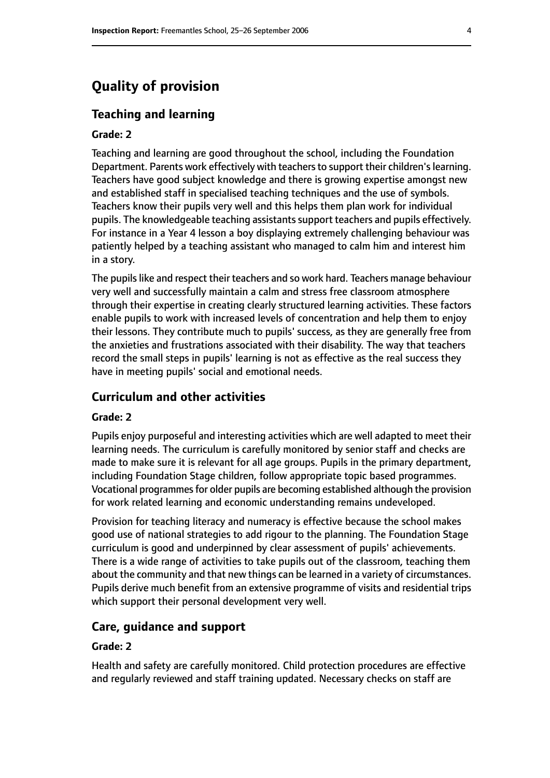# **Quality of provision**

#### **Teaching and learning**

#### **Grade: 2**

Teaching and learning are good throughout the school, including the Foundation Department. Parents work effectively with teachers to support their children's learning. Teachers have good subject knowledge and there is growing expertise amongst new and established staff in specialised teaching techniques and the use of symbols. Teachers know their pupils very well and this helps them plan work for individual pupils. The knowledgeable teaching assistants support teachers and pupils effectively. For instance in a Year 4 lesson a boy displaying extremely challenging behaviour was patiently helped by a teaching assistant who managed to calm him and interest him in a story.

The pupils like and respect their teachers and so work hard. Teachers manage behaviour very well and successfully maintain a calm and stress free classroom atmosphere through their expertise in creating clearly structured learning activities. These factors enable pupils to work with increased levels of concentration and help them to enjoy their lessons. They contribute much to pupils' success, as they are generally free from the anxieties and frustrations associated with their disability. The way that teachers record the small steps in pupils' learning is not as effective as the real success they have in meeting pupils' social and emotional needs.

#### **Curriculum and other activities**

#### **Grade: 2**

Pupils enjoy purposeful and interesting activities which are well adapted to meet their learning needs. The curriculum is carefully monitored by senior staff and checks are made to make sure it is relevant for all age groups. Pupils in the primary department, including Foundation Stage children, follow appropriate topic based programmes. Vocational programmes for older pupils are becoming established although the provision for work related learning and economic understanding remains undeveloped.

Provision for teaching literacy and numeracy is effective because the school makes good use of national strategies to add rigour to the planning. The Foundation Stage curriculum is good and underpinned by clear assessment of pupils' achievements. There is a wide range of activities to take pupils out of the classroom, teaching them about the community and that new things can be learned in a variety of circumstances. Pupils derive much benefit from an extensive programme of visits and residential trips which support their personal development very well.

#### **Care, guidance and support**

#### **Grade: 2**

Health and safety are carefully monitored. Child protection procedures are effective and regularly reviewed and staff training updated. Necessary checks on staff are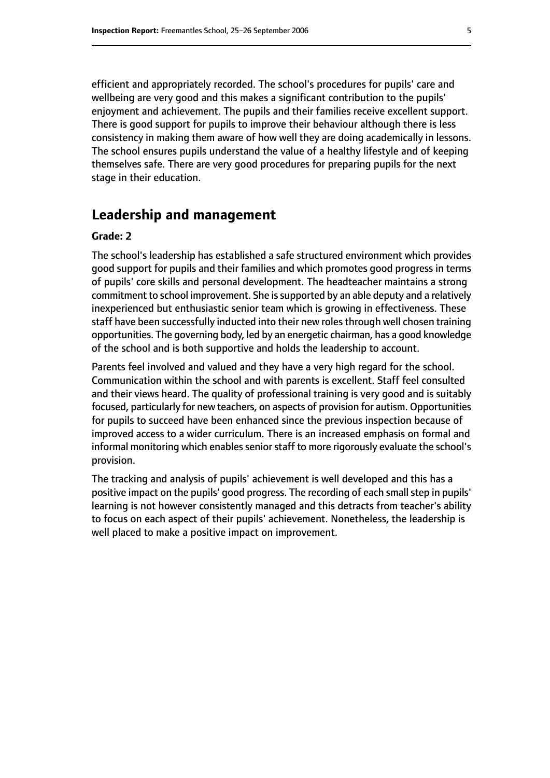efficient and appropriately recorded. The school's procedures for pupils' care and wellbeing are very good and this makes a significant contribution to the pupils' enjoyment and achievement. The pupils and their families receive excellent support. There is good support for pupils to improve their behaviour although there is less consistency in making them aware of how well they are doing academically in lessons. The school ensures pupils understand the value of a healthy lifestyle and of keeping themselves safe. There are very good procedures for preparing pupils for the next stage in their education.

## **Leadership and management**

#### **Grade: 2**

The school's leadership has established a safe structured environment which provides good support for pupils and their families and which promotes good progress in terms of pupils' core skills and personal development. The headteacher maintains a strong commitment to school improvement. She issupported by an able deputy and a relatively inexperienced but enthusiastic senior team which is growing in effectiveness. These staff have been successfully inducted into their new roles through well chosen training opportunities. The governing body, led by an energetic chairman, has a good knowledge of the school and is both supportive and holds the leadership to account.

Parents feel involved and valued and they have a very high regard for the school. Communication within the school and with parents is excellent. Staff feel consulted and their views heard. The quality of professional training is very good and is suitably focused, particularly for new teachers, on aspects of provision for autism. Opportunities for pupils to succeed have been enhanced since the previous inspection because of improved access to a wider curriculum. There is an increased emphasis on formal and informal monitoring which enables senior staff to more rigorously evaluate the school's provision.

The tracking and analysis of pupils' achievement is well developed and this has a positive impact on the pupils' good progress. The recording of each small step in pupils' learning is not however consistently managed and this detracts from teacher's ability to focus on each aspect of their pupils' achievement. Nonetheless, the leadership is well placed to make a positive impact on improvement.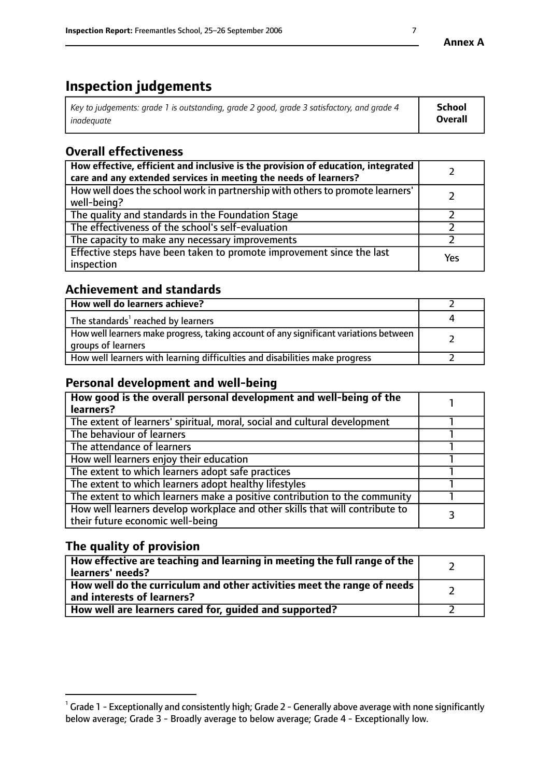# **Inspection judgements**

| $^{\circ}$ Key to judgements: grade 1 is outstanding, grade 2 good, grade 3 satisfactory, and grade 4 $^{\circ}$ | School         |
|------------------------------------------------------------------------------------------------------------------|----------------|
| inadequate                                                                                                       | <b>Overall</b> |

# **Overall effectiveness**

| How effective, efficient and inclusive is the provision of education, integrated<br>care and any extended services in meeting the needs of learners? |     |
|------------------------------------------------------------------------------------------------------------------------------------------------------|-----|
| How well does the school work in partnership with others to promote learners'<br>well-being?                                                         |     |
| The quality and standards in the Foundation Stage                                                                                                    |     |
| The effectiveness of the school's self-evaluation                                                                                                    |     |
| The capacity to make any necessary improvements                                                                                                      |     |
| Effective steps have been taken to promote improvement since the last<br>inspection                                                                  | Yes |

## **Achievement and standards**

| How well do learners achieve?                                                                               |  |
|-------------------------------------------------------------------------------------------------------------|--|
| The standards <sup>1</sup> reached by learners                                                              |  |
| How well learners make progress, taking account of any significant variations between<br>groups of learners |  |
| How well learners with learning difficulties and disabilities make progress                                 |  |

## **Personal development and well-being**

| How good is the overall personal development and well-being of the                                               |  |
|------------------------------------------------------------------------------------------------------------------|--|
| learners?                                                                                                        |  |
| The extent of learners' spiritual, moral, social and cultural development                                        |  |
| The behaviour of learners                                                                                        |  |
| The attendance of learners                                                                                       |  |
| How well learners enjoy their education                                                                          |  |
| The extent to which learners adopt safe practices                                                                |  |
| The extent to which learners adopt healthy lifestyles                                                            |  |
| The extent to which learners make a positive contribution to the community                                       |  |
| How well learners develop workplace and other skills that will contribute to<br>their future economic well-being |  |

# **The quality of provision**

| How effective are teaching and learning in meeting the full range of the<br>  learners' needs?                      |  |
|---------------------------------------------------------------------------------------------------------------------|--|
| $\mid$ How well do the curriculum and other activities meet the range of needs<br>$\mid$ and interests of learners? |  |
| How well are learners cared for, guided and supported?                                                              |  |

 $^1$  Grade 1 - Exceptionally and consistently high; Grade 2 - Generally above average with none significantly below average; Grade 3 - Broadly average to below average; Grade 4 - Exceptionally low.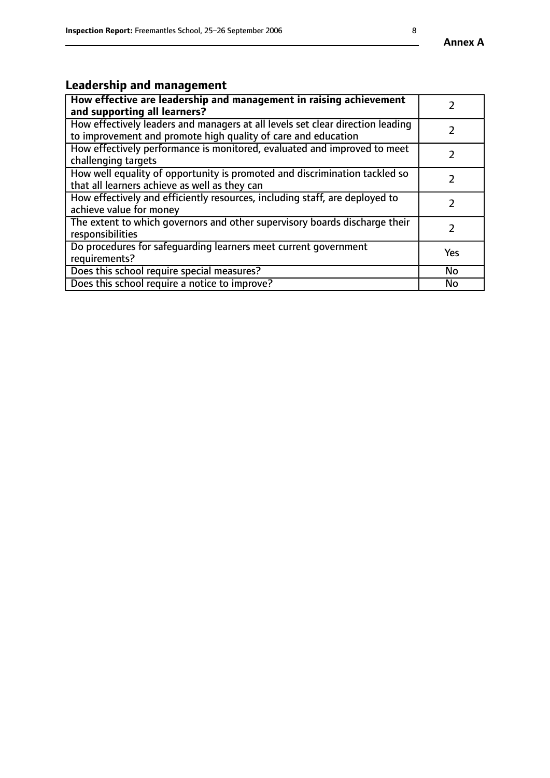# **Leadership and management**

| How effective are leadership and management in raising achievement<br>and supporting all learners?                                              |            |
|-------------------------------------------------------------------------------------------------------------------------------------------------|------------|
| How effectively leaders and managers at all levels set clear direction leading<br>to improvement and promote high quality of care and education |            |
| How effectively performance is monitored, evaluated and improved to meet<br>challenging targets                                                 |            |
| How well equality of opportunity is promoted and discrimination tackled so<br>that all learners achieve as well as they can                     |            |
| How effectively and efficiently resources, including staff, are deployed to<br>achieve value for money                                          |            |
| The extent to which governors and other supervisory boards discharge their<br>responsibilities                                                  | 2          |
| Do procedures for safequarding learners meet current government<br>requirements?                                                                | <b>Yes</b> |
| Does this school require special measures?                                                                                                      | No         |
| Does this school require a notice to improve?                                                                                                   | <b>No</b>  |